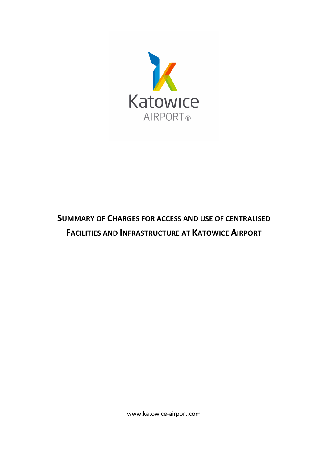

## **SUMMARY OF CHARGES FOR ACCESS AND USE OF CENTRALISED FACILITIES AND INFRASTRUCTURE AT KATOWICE AIRPORT**

www.katowice-airport.com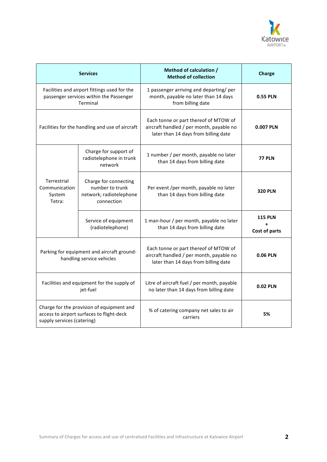

| <b>Services</b>                                                                                                      |                                                                                   | Method of calculation /<br><b>Method of collection</b>                                                                    | Charge                          |
|----------------------------------------------------------------------------------------------------------------------|-----------------------------------------------------------------------------------|---------------------------------------------------------------------------------------------------------------------------|---------------------------------|
| Facilities and airport fittings used for the<br>passenger services within the Passenger<br>Terminal                  |                                                                                   | 1 passenger arriving and departing/ per<br>month, payable no later than 14 days<br>from billing date                      | <b>0.55 PLN</b>                 |
| Facilities for the handling and use of aircraft                                                                      |                                                                                   | Each tonne or part thereof of MTOW of<br>aircraft handled / per month, payable no<br>later than 14 days from billing date | 0.007 PLN                       |
|                                                                                                                      | Charge for support of<br>radiotelephone in trunk<br>network                       | 1 number / per month, payable no later<br>than 14 days from billing date                                                  | <b>77 PLN</b>                   |
| Terrestrial<br>Communication<br>System<br>Tetra:                                                                     | Charge for connecting<br>number to trunk<br>network; radiotelephone<br>connection | Per event /per month, payable no later<br>than 14 days from billing date                                                  | <b>320 PLN</b>                  |
|                                                                                                                      | Service of equipment<br>(radiotelephone)                                          | 1 man-hour / per month, payable no later<br>than 14 days from billing date                                                | <b>115 PLN</b><br>Cost of parts |
| Parking for equipment and aircraft ground-<br>handling service vehicles                                              |                                                                                   | Each tonne or part thereof of MTOW of<br>aircraft handled / per month, payable no<br>later than 14 days from billing date | 0.06 PLN                        |
| Facilities and equipment for the supply of<br>jet-fuel                                                               |                                                                                   | Litre of aircraft fuel / per month, payable<br>no later than 14 days from billing date                                    | 0.02 PLN                        |
| Charge for the provision of equipment and<br>access to airport surfaces to flight-deck<br>supply services (catering) |                                                                                   | % of catering company net sales to air<br>carriers                                                                        | 5%                              |